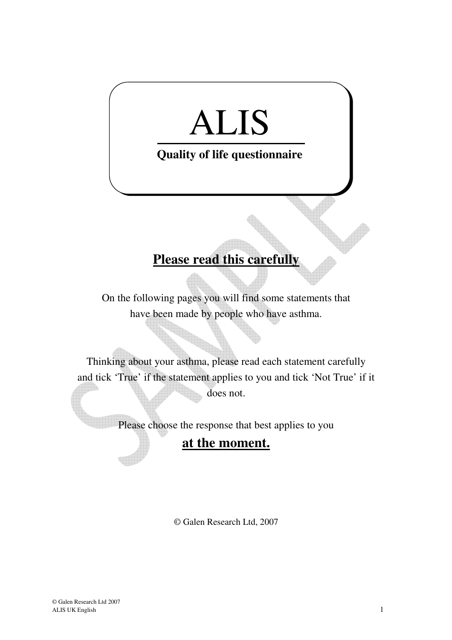## ALIS

## **Quality of life questionnaire**

## **Please read this carefully**

On the following pages you will find some statements that have been made by people who have asthma.

Thinking about your asthma, please read each statement carefully and tick 'True' if the statement applies to you and tick 'Not True' if it does not.

Please choose the response that best applies to you

## **at the moment.**

© Galen Research Ltd, 2007